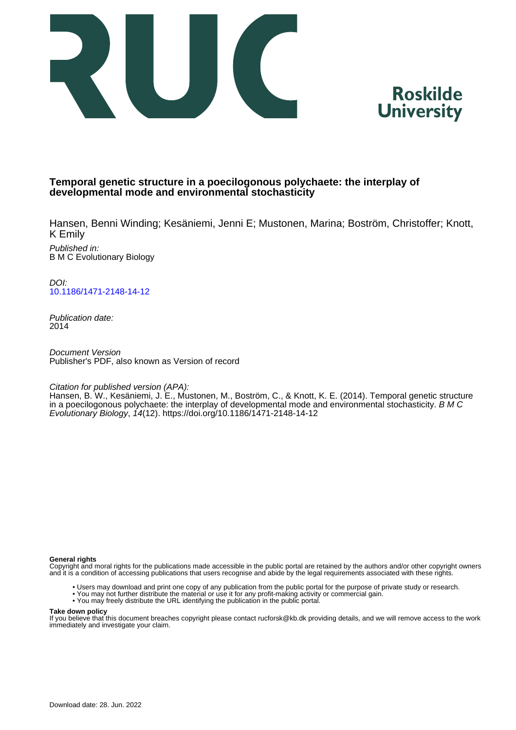



## **Temporal genetic structure in a poecilogonous polychaete: the interplay of developmental mode and environmental stochasticity**

Hansen, Benni Winding; Kesäniemi, Jenni E; Mustonen, Marina; Boström, Christoffer; Knott, K Emily

Published in: B M C Evolutionary Biology

DOI: [10.1186/1471-2148-14-12](https://doi.org/10.1186/1471-2148-14-12)

Publication date: 2014

Document Version Publisher's PDF, also known as Version of record

Citation for published version (APA):

Hansen, B. W., Kesäniemi, J. E., Mustonen, M., Boström, C., & Knott, K. E. (2014). Temporal genetic structure in a poecilogonous polychaete: the interplay of developmental mode and environmental stochasticity. B M C Evolutionary Biology, 14(12). <https://doi.org/10.1186/1471-2148-14-12>

#### **General rights**

Copyright and moral rights for the publications made accessible in the public portal are retained by the authors and/or other copyright owners and it is a condition of accessing publications that users recognise and abide by the legal requirements associated with these rights.

- Users may download and print one copy of any publication from the public portal for the purpose of private study or research.
- You may not further distribute the material or use it for any profit-making activity or commercial gain.
- You may freely distribute the URL identifying the publication in the public portal.

#### **Take down policy**

If you believe that this document breaches copyright please contact rucforsk@kb.dk providing details, and we will remove access to the work immediately and investigate your claim.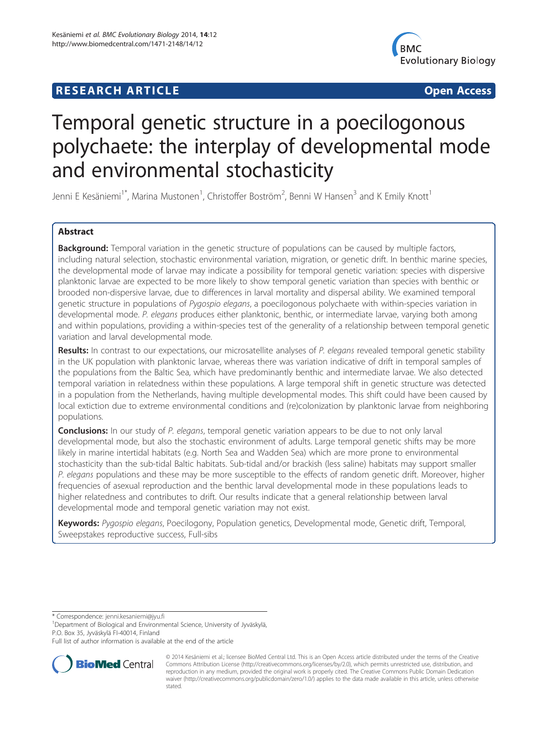# **RESEARCH ARTICLE CONSUMING A RESEARCH ARTICLE**



# Temporal genetic structure in a poecilogonous polychaete: the interplay of developmental mode and environmental stochasticity

Jenni E Kesäniemi<sup>1\*</sup>, Marina Mustonen<sup>1</sup>, Christoffer Boström<sup>2</sup>, Benni W Hansen<sup>3</sup> and K Emily Knott<sup>1</sup>

### Abstract

**Background:** Temporal variation in the genetic structure of populations can be caused by multiple factors, including natural selection, stochastic environmental variation, migration, or genetic drift. In benthic marine species, the developmental mode of larvae may indicate a possibility for temporal genetic variation: species with dispersive planktonic larvae are expected to be more likely to show temporal genetic variation than species with benthic or brooded non-dispersive larvae, due to differences in larval mortality and dispersal ability. We examined temporal genetic structure in populations of Pygospio elegans, a poecilogonous polychaete with within-species variation in developmental mode. P. elegans produces either planktonic, benthic, or intermediate larvae, varying both among and within populations, providing a within-species test of the generality of a relationship between temporal genetic variation and larval developmental mode.

Results: In contrast to our expectations, our microsatellite analyses of P. elegans revealed temporal genetic stability in the UK population with planktonic larvae, whereas there was variation indicative of drift in temporal samples of the populations from the Baltic Sea, which have predominantly benthic and intermediate larvae. We also detected temporal variation in relatedness within these populations. A large temporal shift in genetic structure was detected in a population from the Netherlands, having multiple developmental modes. This shift could have been caused by local extiction due to extreme environmental conditions and (re)colonization by planktonic larvae from neighboring populations.

**Conclusions:** In our study of P. elegans, temporal genetic variation appears to be due to not only larval developmental mode, but also the stochastic environment of adults. Large temporal genetic shifts may be more likely in marine intertidal habitats (e.g. North Sea and Wadden Sea) which are more prone to environmental stochasticity than the sub-tidal Baltic habitats. Sub-tidal and/or brackish (less saline) habitats may support smaller P. elegans populations and these may be more susceptible to the effects of random genetic drift. Moreover, higher frequencies of asexual reproduction and the benthic larval developmental mode in these populations leads to higher relatedness and contributes to drift. Our results indicate that a general relationship between larval developmental mode and temporal genetic variation may not exist.

Keywords: Pygospio elegans, Poecilogony, Population genetics, Developmental mode, Genetic drift, Temporal, Sweepstakes reproductive success, Full-sibs

\* Correspondence: [jenni.kesaniemi@jyu.fi](mailto:jenni.kesaniemi@jyu.fi) <sup>1</sup>

Department of Biological and Environmental Science, University of Jyväskylä, P.O. Box 35, Jyväskylä FI-40014, Finland

Full list of author information is available at the end of the article



© 2014 Kesäniemi et al.; licensee BioMed Central Ltd. This is an Open Access article distributed under the terms of the Creative Commons Attribution License [\(http://creativecommons.org/licenses/by/2.0\)](http://creativecommons.org/licenses/by/2.0), which permits unrestricted use, distribution, and reproduction in any medium, provided the original work is properly cited. The Creative Commons Public Domain Dedication waiver [\(http://creativecommons.org/publicdomain/zero/1.0/\)](http://creativecommons.org/publicdomain/zero/1.0/) applies to the data made available in this article, unless otherwise stated.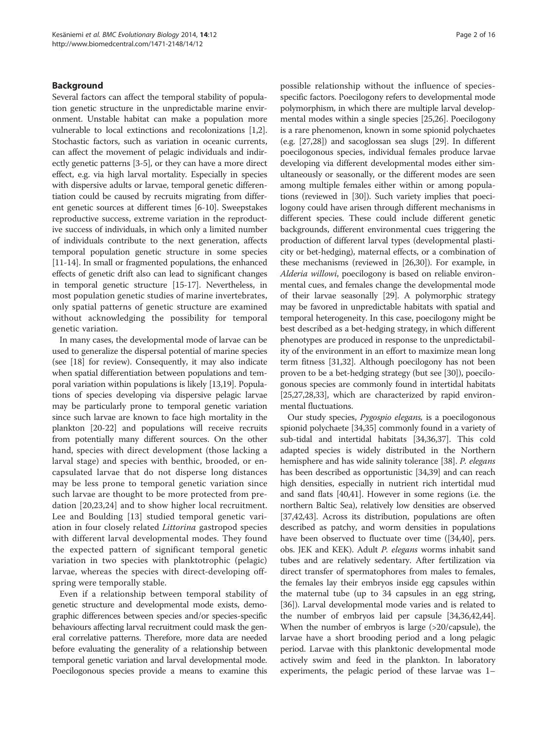#### Background

Several factors can affect the temporal stability of population genetic structure in the unpredictable marine environment. Unstable habitat can make a population more vulnerable to local extinctions and recolonizations [[1](#page-14-0),[2](#page-14-0)]. Stochastic factors, such as variation in oceanic currents, can affect the movement of pelagic individuals and indirectly genetic patterns [\[3](#page-14-0)-[5](#page-14-0)], or they can have a more direct effect, e.g. via high larval mortality. Especially in species with dispersive adults or larvae, temporal genetic differentiation could be caused by recruits migrating from different genetic sources at different times [[6-10\]](#page-14-0). Sweepstakes reproductive success, extreme variation in the reproductive success of individuals, in which only a limited number of individuals contribute to the next generation, affects temporal population genetic structure in some species [[11](#page-14-0)-[14](#page-14-0)]. In small or fragmented populations, the enhanced effects of genetic drift also can lead to significant changes in temporal genetic structure [\[15](#page-14-0)-[17](#page-14-0)]. Nevertheless, in most population genetic studies of marine invertebrates, only spatial patterns of genetic structure are examined without acknowledging the possibility for temporal genetic variation.

In many cases, the developmental mode of larvae can be used to generalize the dispersal potential of marine species (see [\[18](#page-14-0)] for review). Consequently, it may also indicate when spatial differentiation between populations and temporal variation within populations is likely [\[13,19\]](#page-14-0). Populations of species developing via dispersive pelagic larvae may be particularly prone to temporal genetic variation since such larvae are known to face high mortality in the plankton [\[20-22\]](#page-14-0) and populations will receive recruits from potentially many different sources. On the other hand, species with direct development (those lacking a larval stage) and species with benthic, brooded, or encapsulated larvae that do not disperse long distances may be less prone to temporal genetic variation since such larvae are thought to be more protected from predation [[20,23,24](#page-14-0)] and to show higher local recruitment. Lee and Boulding [[13\]](#page-14-0) studied temporal genetic variation in four closely related Littorina gastropod species with different larval developmental modes. They found the expected pattern of significant temporal genetic variation in two species with planktotrophic (pelagic) larvae, whereas the species with direct-developing offspring were temporally stable.

Even if a relationship between temporal stability of genetic structure and developmental mode exists, demographic differences between species and/or species-specific behaviours affecting larval recruitment could mask the general correlative patterns. Therefore, more data are needed before evaluating the generality of a relationship between temporal genetic variation and larval developmental mode. Poecilogonous species provide a means to examine this

possible relationship without the influence of speciesspecific factors. Poecilogony refers to developmental mode polymorphism, in which there are multiple larval developmental modes within a single species [[25](#page-14-0)[,26\]](#page-15-0). Poecilogony is a rare phenomenon, known in some spionid polychaetes (e.g. [\[27,28](#page-15-0)]) and sacoglossan sea slugs [\[29\]](#page-15-0). In different poecilogonous species, individual females produce larvae developing via different developmental modes either simultaneously or seasonally, or the different modes are seen among multiple females either within or among populations (reviewed in [[30](#page-15-0)]). Such variety implies that poecilogony could have arisen through different mechanisms in different species. These could include different genetic backgrounds, different environmental cues triggering the production of different larval types (developmental plasticity or bet-hedging), maternal effects, or a combination of these mechanisms (reviewed in [\[26,30](#page-15-0)]). For example, in Alderia willowi, poecilogony is based on reliable environmental cues, and females change the developmental mode of their larvae seasonally [\[29\]](#page-15-0). A polymorphic strategy may be favored in unpredictable habitats with spatial and temporal heterogeneity. In this case, poecilogony might be best described as a bet-hedging strategy, in which different phenotypes are produced in response to the unpredictability of the environment in an effort to maximize mean long term fitness [\[31,32\]](#page-15-0). Although poecilogony has not been proven to be a bet-hedging strategy (but see [[30](#page-15-0)]), poecilogonous species are commonly found in intertidal habitats [[25](#page-14-0)[,27,28,33](#page-15-0)], which are characterized by rapid environmental fluctuations.

Our study species, Pygospio elegans, is a poecilogonous spionid polychaete [\[34,35](#page-15-0)] commonly found in a variety of sub-tidal and intertidal habitats [\[34,36,37](#page-15-0)]. This cold adapted species is widely distributed in the Northern hemisphere and has wide salinity tolerance [\[38\]](#page-15-0). P. elegans has been described as opportunistic [[34,39\]](#page-15-0) and can reach high densities, especially in nutrient rich intertidal mud and sand flats [[40,41](#page-15-0)]. However in some regions (i.e. the northern Baltic Sea), relatively low densities are observed [[37,42,43\]](#page-15-0). Across its distribution, populations are often described as patchy, and worm densities in populations have been observed to fluctuate over time ([\[34,40\]](#page-15-0), pers. obs. JEK and KEK). Adult P. elegans worms inhabit sand tubes and are relatively sedentary. After fertilization via direct transfer of spermatophores from males to females, the females lay their embryos inside egg capsules within the maternal tube (up to 34 capsules in an egg string, [[36](#page-15-0)]). Larval developmental mode varies and is related to the number of embryos laid per capsule [[34,36,42,44](#page-15-0)]. When the number of embryos is large (>20/capsule), the larvae have a short brooding period and a long pelagic period. Larvae with this planktonic developmental mode actively swim and feed in the plankton. In laboratory experiments, the pelagic period of these larvae was 1–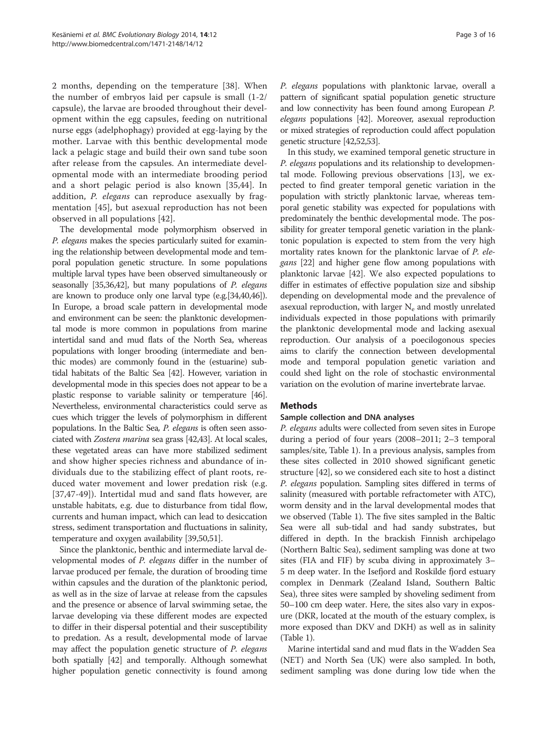2 months, depending on the temperature [[38](#page-15-0)]. When the number of embryos laid per capsule is small (1-2/ capsule), the larvae are brooded throughout their development within the egg capsules, feeding on nutritional nurse eggs (adelphophagy) provided at egg-laying by the mother. Larvae with this benthic developmental mode lack a pelagic stage and build their own sand tube soon after release from the capsules. An intermediate developmental mode with an intermediate brooding period and a short pelagic period is also known [[35,44](#page-15-0)]. In addition, P. elegans can reproduce asexually by fragmentation [\[45](#page-15-0)], but asexual reproduction has not been observed in all populations [[42\]](#page-15-0).

The developmental mode polymorphism observed in P. elegans makes the species particularly suited for examining the relationship between developmental mode and temporal population genetic structure. In some populations multiple larval types have been observed simultaneously or seasonally [\[35,36,42](#page-15-0)], but many populations of P. elegans are known to produce only one larval type (e.g.[\[34,40,46](#page-15-0)]). In Europe, a broad scale pattern in developmental mode and environment can be seen: the planktonic developmental mode is more common in populations from marine intertidal sand and mud flats of the North Sea, whereas populations with longer brooding (intermediate and benthic modes) are commonly found in the (estuarine) subtidal habitats of the Baltic Sea [\[42](#page-15-0)]. However, variation in developmental mode in this species does not appear to be a plastic response to variable salinity or temperature [\[46](#page-15-0)]. Nevertheless, environmental characteristics could serve as cues which trigger the levels of polymorphism in different populations. In the Baltic Sea, P. elegans is often seen associated with Zostera marina sea grass [[42,43\]](#page-15-0). At local scales, these vegetated areas can have more stabilized sediment and show higher species richness and abundance of individuals due to the stabilizing effect of plant roots, reduced water movement and lower predation risk (e.g. [[37,47](#page-15-0)-[49\]](#page-15-0)). Intertidal mud and sand flats however, are unstable habitats, e.g. due to disturbance from tidal flow, currents and human impact, which can lead to desiccation stress, sediment transportation and fluctuations in salinity, temperature and oxygen availability [\[39,50,51](#page-15-0)].

Since the planktonic, benthic and intermediate larval developmental modes of P. elegans differ in the number of larvae produced per female, the duration of brooding time within capsules and the duration of the planktonic period, as well as in the size of larvae at release from the capsules and the presence or absence of larval swimming setae, the larvae developing via these different modes are expected to differ in their dispersal potential and their susceptibility to predation. As a result, developmental mode of larvae may affect the population genetic structure of P. elegans both spatially [\[42\]](#page-15-0) and temporally. Although somewhat higher population genetic connectivity is found among P. elegans populations with planktonic larvae, overall a pattern of significant spatial population genetic structure and low connectivity has been found among European P. elegans populations [[42](#page-15-0)]. Moreover, asexual reproduction or mixed strategies of reproduction could affect population genetic structure [\[42,52,53](#page-15-0)].

In this study, we examined temporal genetic structure in P. elegans populations and its relationship to developmental mode. Following previous observations [\[13\]](#page-14-0), we expected to find greater temporal genetic variation in the population with strictly planktonic larvae, whereas temporal genetic stability was expected for populations with predominately the benthic developmental mode. The possibility for greater temporal genetic variation in the planktonic population is expected to stem from the very high mortality rates known for the planktonic larvae of P. elegans [[22](#page-14-0)] and higher gene flow among populations with planktonic larvae [\[42\]](#page-15-0). We also expected populations to differ in estimates of effective population size and sibship depending on developmental mode and the prevalence of asexual reproduction, with larger  $N_e$  and mostly unrelated individuals expected in those populations with primarily the planktonic developmental mode and lacking asexual reproduction. Our analysis of a poecilogonous species aims to clarify the connection between developmental mode and temporal population genetic variation and could shed light on the role of stochastic environmental variation on the evolution of marine invertebrate larvae.

#### Methods

#### Sample collection and DNA analyses

P. elegans adults were collected from seven sites in Europe during a period of four years (2008–2011; 2–3 temporal samples/site, Table [1\)](#page-4-0). In a previous analysis, samples from these sites collected in 2010 showed significant genetic structure [\[42](#page-15-0)], so we considered each site to host a distinct P. elegans population. Sampling sites differed in terms of salinity (measured with portable refractometer with ATC), worm density and in the larval developmental modes that we observed (Table [1](#page-4-0)). The five sites sampled in the Baltic Sea were all sub-tidal and had sandy substrates, but differed in depth. In the brackish Finnish archipelago (Northern Baltic Sea), sediment sampling was done at two sites (FIA and FIF) by scuba diving in approximately 3– 5 m deep water. In the Isefjord and Roskilde fjord estuary complex in Denmark (Zealand Island, Southern Baltic Sea), three sites were sampled by shoveling sediment from 50–100 cm deep water. Here, the sites also vary in exposure (DKR, located at the mouth of the estuary complex, is more exposed than DKV and DKH) as well as in salinity (Table [1](#page-4-0)).

Marine intertidal sand and mud flats in the Wadden Sea (NET) and North Sea (UK) were also sampled. In both, sediment sampling was done during low tide when the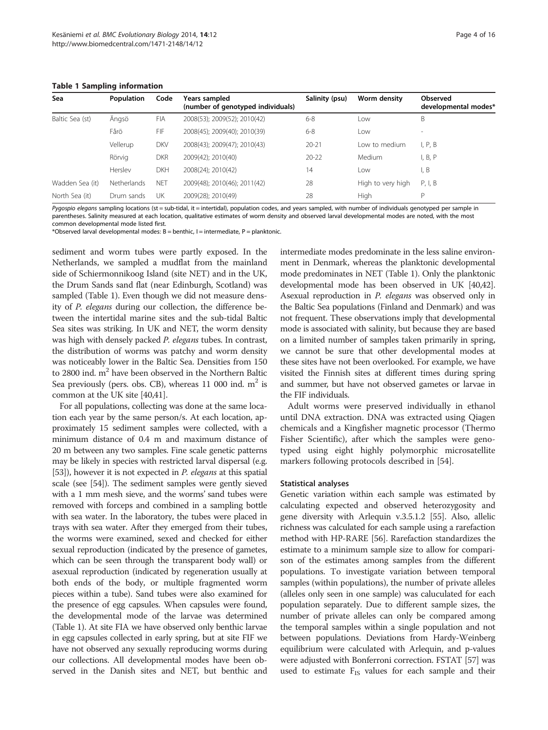<span id="page-4-0"></span>Table 1 Sampling information

|                 | -                  |            |                                                    |                |                   |                                         |
|-----------------|--------------------|------------|----------------------------------------------------|----------------|-------------------|-----------------------------------------|
| Sea             | <b>Population</b>  | Code       | Years sampled<br>(number of genotyped individuals) | Salinity (psu) | Worm density      | <b>Observed</b><br>developmental modes* |
| Baltic Sea (st) | Ängsö              | FIA        | 2008(53); 2009(52); 2010(42)                       | $6 - 8$        | Low               | B                                       |
|                 | Fårö               | FIF.       | 2008(45); 2009(40); 2010(39)                       | $6 - 8$        | Low               | $\sim$                                  |
|                 | Vellerup           | DKV        | 2008(43); 2009(47); 2010(43)                       | $20 - 21$      | Low to medium     | I, P, B                                 |
|                 | Rörvig             | DKR        | 2009(42); 2010(40)                                 | $20 - 22$      | Medium            | I, B, P                                 |
|                 | Hersley            | DKH        | 2008(24); 2010(42)                                 | 14             | Low               | I, B                                    |
| Wadden Sea (it) | <b>Netherlands</b> | <b>NET</b> | 2009(48); 2010(46); 2011(42)                       | 28             | High to very high | P, I, B                                 |
| North Sea (it)  | Drum sands         | UK         | 2009(28); 2010(49)                                 | 28             | Hiah              | P                                       |

Pygospio elegans sampling locations (st = sub-tidal, it = intertidal), population codes, and years sampled, with number of individuals genotyped per sample in parentheses. Salinity measured at each location, qualitative estimates of worm density and observed larval developmental modes are noted, with the most common developmental mode listed first.

\*Observed larval developmental modes: B = benthic, I = intermediate, P = planktonic.

sediment and worm tubes were partly exposed. In the Netherlands, we sampled a mudflat from the mainland side of Schiermonnikoog Island (site NET) and in the UK, the Drum Sands sand flat (near Edinburgh, Scotland) was sampled (Table 1). Even though we did not measure density of P. elegans during our collection, the difference between the intertidal marine sites and the sub-tidal Baltic Sea sites was striking. In UK and NET, the worm density was high with densely packed P. elegans tubes. In contrast, the distribution of worms was patchy and worm density was noticeably lower in the Baltic Sea. Densities from 150 to 2800 ind.  $m<sup>2</sup>$  have been observed in the Northern Baltic Sea previously (pers. obs. CB), whereas 11 000 ind.  $m<sup>2</sup>$  is common at the UK site [[40,41](#page-15-0)].

For all populations, collecting was done at the same location each year by the same person/s. At each location, approximately 15 sediment samples were collected, with a minimum distance of 0.4 m and maximum distance of 20 m between any two samples. Fine scale genetic patterns may be likely in species with restricted larval dispersal (e.g. [[53](#page-15-0)]), however it is not expected in *P. elegans* at this spatial scale (see [\[54\]](#page-15-0)). The sediment samples were gently sieved with a 1 mm mesh sieve, and the worms' sand tubes were removed with forceps and combined in a sampling bottle with sea water. In the laboratory, the tubes were placed in trays with sea water. After they emerged from their tubes, the worms were examined, sexed and checked for either sexual reproduction (indicated by the presence of gametes, which can be seen through the transparent body wall) or asexual reproduction (indicated by regeneration usually at both ends of the body, or multiple fragmented worm pieces within a tube). Sand tubes were also examined for the presence of egg capsules. When capsules were found, the developmental mode of the larvae was determined (Table 1). At site FIA we have observed only benthic larvae in egg capsules collected in early spring, but at site FIF we have not observed any sexually reproducing worms during our collections. All developmental modes have been observed in the Danish sites and NET, but benthic and intermediate modes predominate in the less saline environment in Denmark, whereas the planktonic developmental mode predominates in NET (Table 1). Only the planktonic developmental mode has been observed in UK [\[40,42](#page-15-0)]. Asexual reproduction in P. elegans was observed only in the Baltic Sea populations (Finland and Denmark) and was not frequent. These observations imply that developmental mode is associated with salinity, but because they are based on a limited number of samples taken primarily in spring, we cannot be sure that other developmental modes at these sites have not been overlooked. For example, we have visited the Finnish sites at different times during spring and summer, but have not observed gametes or larvae in the FIF individuals.

Adult worms were preserved individually in ethanol until DNA extraction. DNA was extracted using Qiagen chemicals and a Kingfisher magnetic processor (Thermo Fisher Scientific), after which the samples were genotyped using eight highly polymorphic microsatellite markers following protocols described in [\[54](#page-15-0)].

#### Statistical analyses

Genetic variation within each sample was estimated by calculating expected and observed heterozygosity and gene diversity with Arlequin v.3.5.1.2 [\[55](#page-15-0)]. Also, allelic richness was calculated for each sample using a rarefaction method with HP-RARE [[56](#page-15-0)]. Rarefaction standardizes the estimate to a minimum sample size to allow for comparison of the estimates among samples from the different populations. To investigate variation between temporal samples (within populations), the number of private alleles (alleles only seen in one sample) was caluculated for each population separately. Due to different sample sizes, the number of private alleles can only be compared among the temporal samples within a single population and not between populations. Deviations from Hardy-Weinberg equilibrium were calculated with Arlequin, and p-values were adjusted with Bonferroni correction. FSTAT [\[57\]](#page-15-0) was used to estimate  $F_{IS}$  values for each sample and their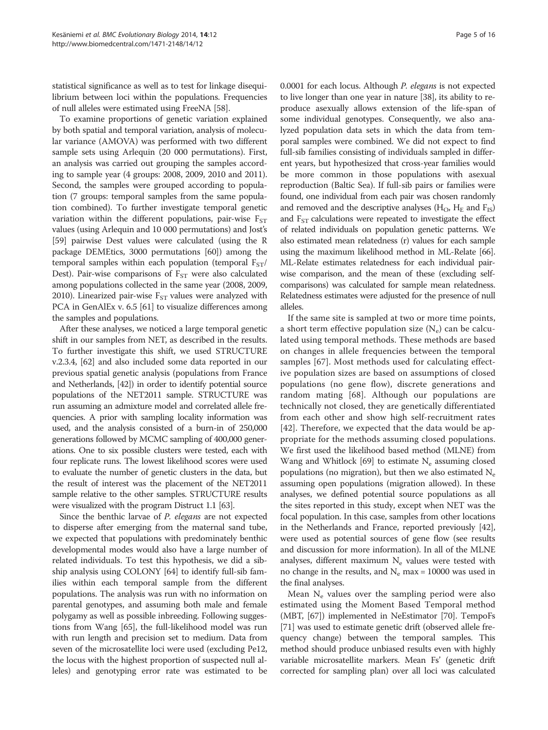statistical significance as well as to test for linkage disequilibrium between loci within the populations. Frequencies of null alleles were estimated using FreeNA [\[58](#page-15-0)].

To examine proportions of genetic variation explained by both spatial and temporal variation, analysis of molecular variance (AMOVA) was performed with two different sample sets using Arlequin (20 000 permutations). First, an analysis was carried out grouping the samples according to sample year (4 groups: 2008, 2009, 2010 and 2011). Second, the samples were grouped according to population (7 groups: temporal samples from the same population combined). To further investigate temporal genetic variation within the different populations, pair-wise  $F_{ST}$ values (using Arlequin and 10 000 permutations) and Jost's [[59](#page-15-0)] pairwise Dest values were calculated (using the R package DEMEtics, 3000 permutations [\[60](#page-15-0)]) among the temporal samples within each population (temporal  $F_{ST}$ / Dest). Pair-wise comparisons of  $F_{ST}$  were also calculated among populations collected in the same year (2008, 2009, 2010). Linearized pair-wise  $F_{ST}$  values were analyzed with PCA in GenAlEx v. 6.5 [[61\]](#page-15-0) to visualize differences among the samples and populations.

After these analyses, we noticed a large temporal genetic shift in our samples from NET, as described in the results. To further investigate this shift, we used STRUCTURE v.2.3.4, [\[62](#page-15-0)] and also included some data reported in our previous spatial genetic analysis (populations from France and Netherlands, [\[42\]](#page-15-0)) in order to identify potential source populations of the NET2011 sample. STRUCTURE was run assuming an admixture model and correlated allele frequencies. A prior with sampling locality information was used, and the analysis consisted of a burn-in of 250,000 generations followed by MCMC sampling of 400,000 generations. One to six possible clusters were tested, each with four replicate runs. The lowest likelihood scores were used to evaluate the number of genetic clusters in the data, but the result of interest was the placement of the NET2011 sample relative to the other samples. STRUCTURE results were visualized with the program Distruct 1.1 [[63](#page-15-0)].

Since the benthic larvae of P. elegans are not expected to disperse after emerging from the maternal sand tube, we expected that populations with predominately benthic developmental modes would also have a large number of related individuals. To test this hypothesis, we did a sibship analysis using COLONY [\[64\]](#page-15-0) to identify full-sib families within each temporal sample from the different populations. The analysis was run with no information on parental genotypes, and assuming both male and female polygamy as well as possible inbreeding. Following suggestions from Wang [\[65\]](#page-15-0), the full-likelihood model was run with run length and precision set to medium. Data from seven of the microsatellite loci were used (excluding Pe12, the locus with the highest proportion of suspected null alleles) and genotyping error rate was estimated to be 0.0001 for each locus. Although P. elegans is not expected to live longer than one year in nature [[38](#page-15-0)], its ability to reproduce asexually allows extension of the life-span of some individual genotypes. Consequently, we also analyzed population data sets in which the data from temporal samples were combined. We did not expect to find full-sib families consisting of individuals sampled in different years, but hypothesized that cross-year families would be more common in those populations with asexual reproduction (Baltic Sea). If full-sib pairs or families were found, one individual from each pair was chosen randomly and removed and the descriptive analyses  $(H<sub>O</sub>, H<sub>E</sub>$  and  $F<sub>IS</sub>$ ) and  $F<sub>ST</sub>$  calculations were repeated to investigate the effect of related individuals on population genetic patterns. We also estimated mean relatedness (r) values for each sample using the maximum likelihood method in ML-Relate [\[66](#page-15-0)]. ML-Relate estimates relatedness for each individual pairwise comparison, and the mean of these (excluding selfcomparisons) was calculated for sample mean relatedness. Relatedness estimates were adjusted for the presence of null alleles.

If the same site is sampled at two or more time points, a short term effective population size  $(N_e)$  can be calculated using temporal methods. These methods are based on changes in allele frequencies between the temporal samples [\[67](#page-15-0)]. Most methods used for calculating effective population sizes are based on assumptions of closed populations (no gene flow), discrete generations and random mating [\[68](#page-15-0)]. Although our populations are technically not closed, they are genetically differentiated from each other and show high self-recruitment rates [[42\]](#page-15-0). Therefore, we expected that the data would be appropriate for the methods assuming closed populations. We first used the likelihood based method (MLNE) from Wang and Whitlock [\[69\]](#page-15-0) to estimate  $N_e$  assuming closed populations (no migration), but then we also estimated  $N_e$ assuming open populations (migration allowed). In these analyses, we defined potential source populations as all the sites reported in this study, except when NET was the focal population. In this case, samples from other locations in the Netherlands and France, reported previously [[42](#page-15-0)], were used as potential sources of gene flow (see [results](#page-6-0) and [discussion](#page-11-0) for more information). In all of the MLNE analyses, different maximum  $N_e$  values were tested with no change in the results, and  $N_e$  max = 10000 was used in the final analyses.

Mean  $N_e$  values over the sampling period were also estimated using the Moment Based Temporal method (MBT, [\[67\]](#page-15-0)) implemented in NeEstimator [\[70\]](#page-15-0). TempoFs [[71](#page-15-0)] was used to estimate genetic drift (observed allele frequency change) between the temporal samples. This method should produce unbiased results even with highly variable microsatellite markers. Mean Fs' (genetic drift corrected for sampling plan) over all loci was calculated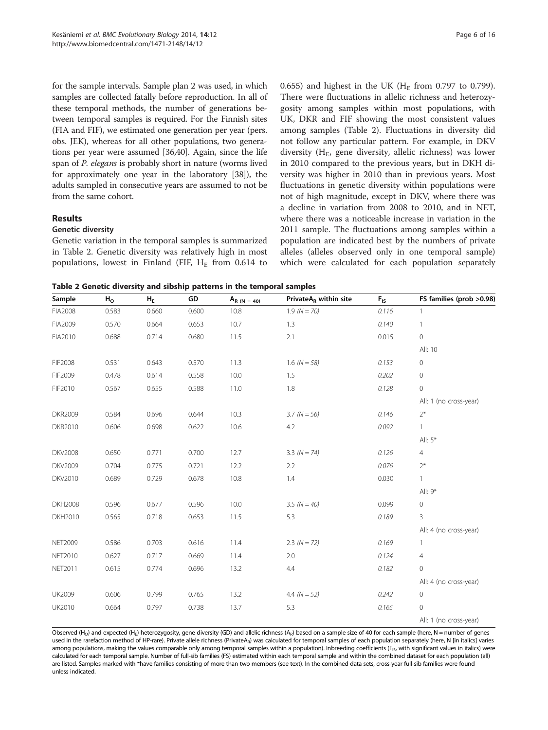<span id="page-6-0"></span>for the sample intervals. Sample plan 2 was used, in which samples are collected fatally before reproduction. In all of these temporal methods, the number of generations between temporal samples is required. For the Finnish sites (FIA and FIF), we estimated one generation per year (pers. obs. JEK), whereas for all other populations, two generations per year were assumed [[36,40](#page-15-0)]. Again, since the life span of P. elegans is probably short in nature (worms lived for approximately one year in the laboratory [\[38\]](#page-15-0)), the adults sampled in consecutive years are assumed to not be from the same cohort.

#### Results

#### Genetic diversity

Genetic variation in the temporal samples is summarized in Table 2. Genetic diversity was relatively high in most populations, lowest in Finland (FIF,  $H<sub>E</sub>$  from 0.614 to 0.655) and highest in the UK ( $H<sub>E</sub>$  from 0.797 to 0.799). There were fluctuations in allelic richness and heterozygosity among samples within most populations, with UK, DKR and FIF showing the most consistent values among samples (Table 2). Fluctuations in diversity did not follow any particular pattern. For example, in DKV diversity  $(H_E)$ , gene diversity, allelic richness) was lower in 2010 compared to the previous years, but in DKH diversity was higher in 2010 than in previous years. Most fluctuations in genetic diversity within populations were not of high magnitude, except in DKV, where there was a decline in variation from 2008 to 2010, and in NET, where there was a noticeable increase in variation in the 2011 sample. The fluctuations among samples within a population are indicated best by the numbers of private alleles (alleles observed only in one temporal sample) which were calculated for each population separately

Table 2 Genetic diversity and sibship patterns in the temporal samples

| Sample         | $\mathsf{H}_{\mathsf{O}}$ | $H_E$ | GD    | $A_{R (N = 40)}$ | PrivateAR within site | $F_{IS}$ | FS families (prob >0.98) |
|----------------|---------------------------|-------|-------|------------------|-----------------------|----------|--------------------------|
| FIA2008        | 0.583                     | 0.660 | 0.600 | 10.8             | $1.9(N = 70)$         | 0.116    | $\mathbf{1}$             |
| FIA2009        | 0.570                     | 0.664 | 0.653 | 10.7             | 1.3                   | 0.140    | 1                        |
| FIA2010        | 0.688                     | 0.714 | 0.680 | 11.5             | 2.1                   | 0.015    | 0                        |
|                |                           |       |       |                  |                       |          | All: 10                  |
| FIF2008        | 0.531                     | 0.643 | 0.570 | 11.3             | 1.6 $(N = 58)$        | 0.153    | 0                        |
| FIF2009        | 0.478                     | 0.614 | 0.558 | 10.0             | 1.5                   | 0.202    | 0                        |
| FIF2010        | 0.567                     | 0.655 | 0.588 | 11.0             | 1.8                   | 0.128    | 0                        |
|                |                           |       |       |                  |                       |          | All: 1 (no cross-year)   |
| <b>DKR2009</b> | 0.584                     | 0.696 | 0.644 | 10.3             | $3.7 (N = 56)$        | 0.146    | $2*$                     |
| <b>DKR2010</b> | 0.606                     | 0.698 | 0.622 | 10.6             | 4.2                   | 0.092    | $\mathbf{1}$             |
|                |                           |       |       |                  |                       |          | All: 5*                  |
| <b>DKV2008</b> | 0.650                     | 0.771 | 0.700 | 12.7             | 3.3 $(N = 74)$        | 0.126    | $\overline{4}$           |
| <b>DKV2009</b> | 0.704                     | 0.775 | 0.721 | 12.2             | 2.2                   | 0.076    | $2^*$                    |
| DKV2010        | 0.689                     | 0.729 | 0.678 | 10.8             | $1.4\,$               | 0.030    | $\mathbf{1}$             |
|                |                           |       |       |                  |                       |          | All: 9*                  |
| <b>DKH2008</b> | 0.596                     | 0.677 | 0.596 | 10.0             | 3.5 $(N = 40)$        | 0.099    | $\mathsf{O}\xspace$      |
| DKH2010        | 0.565                     | 0.718 | 0.653 | 11.5             | 5.3                   | 0.189    | 3                        |
|                |                           |       |       |                  |                       |          | All: 4 (no cross-year)   |
| <b>NET2009</b> | 0.586                     | 0.703 | 0.616 | 11.4             | $2.3 (N = 72)$        | 0.169    | 1                        |
| <b>NET2010</b> | 0.627                     | 0.717 | 0.669 | 11.4             | 2.0                   | 0.124    | $\overline{4}$           |
| <b>NET2011</b> | 0.615                     | 0.774 | 0.696 | 13.2             | 4.4                   | 0.182    | 0                        |
|                |                           |       |       |                  |                       |          | All: 4 (no cross-year)   |
| <b>UK2009</b>  | 0.606                     | 0.799 | 0.765 | 13.2             | 4.4 $(N = 52)$        | 0.242    | 0                        |
| <b>UK2010</b>  | 0.664                     | 0.797 | 0.738 | 13.7             | 5.3                   | 0.165    | $\mathbf 0$              |
|                |                           |       |       |                  |                       |          | All: 1 (no cross-year)   |

Observed (H<sub>O</sub>) and expected (H<sub>E</sub>) heterozygosity, gene diversity (GD) and allelic richness (A<sub>R</sub>) based on a sample size of 40 for each sample (here, N = number of genes used in the rarefaction method of HP-rare). Private allele richness (PrivateAR) was calculated for temporal samples of each population separately (here, N [in italics] varies among populations, making the values comparable only among temporal samples within a population). Inbreeding coefficients ( $F_{15}$ , with significant values in italics) were calculated for each temporal sample. Number of full-sib families (FS) estimated within each temporal sample and within the combined dataset for each population (all) are listed. Samples marked with \*have families consisting of more than two members (see text). In the combined data sets, cross-year full-sib families were found unless indicated.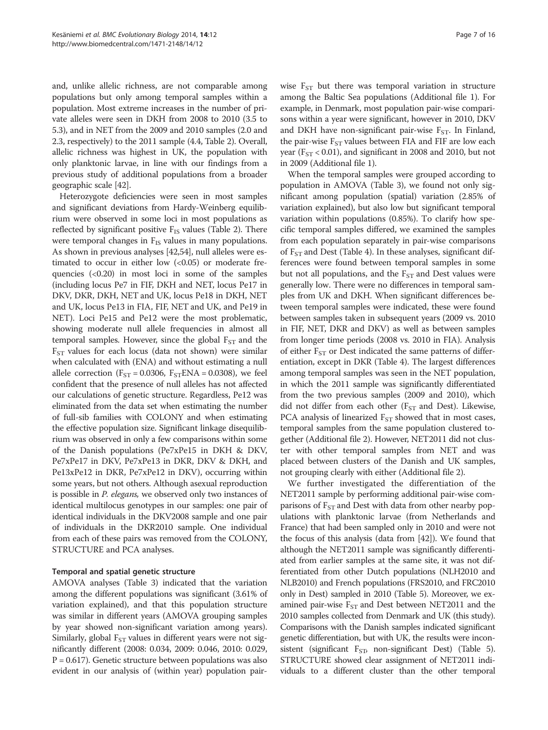and, unlike allelic richness, are not comparable among populations but only among temporal samples within a population. Most extreme increases in the number of private alleles were seen in DKH from 2008 to 2010 (3.5 to 5.3), and in NET from the 2009 and 2010 samples (2.0 and 2.3, respectively) to the 2011 sample (4.4, Table [2\)](#page-6-0). Overall, allelic richness was highest in UK, the population with only planktonic larvae, in line with our findings from a previous study of additional populations from a broader geographic scale [[42](#page-15-0)].

Heterozygote deficiencies were seen in most samples and significant deviations from Hardy-Weinberg equilibrium were observed in some loci in most populations as reflected by significant positive  $F_{IS}$  values (Table [2](#page-6-0)). There were temporal changes in  $F_{IS}$  values in many populations. As shown in previous analyses [[42,54\]](#page-15-0), null alleles were estimated to occur in either low  $( $0.05$ )$  or moderate frequencies (<0.20) in most loci in some of the samples (including locus Pe7 in FIF, DKH and NET, locus Pe17 in DKV, DKR, DKH, NET and UK, locus Pe18 in DKH, NET and UK, locus Pe13 in FIA, FIF, NET and UK, and Pe19 in NET). Loci Pe15 and Pe12 were the most problematic, showing moderate null allele frequencies in almost all temporal samples. However, since the global  $F_{ST}$  and the  $F_{ST}$  values for each locus (data not shown) were similar when calculated with (ENA) and without estimating a null allele correction ( $F_{ST} = 0.0306$ ,  $F_{ST}$ ENA = 0.0308), we feel confident that the presence of null alleles has not affected our calculations of genetic structure. Regardless, Pe12 was eliminated from the data set when estimating the number of full-sib families with COLONY and when estimating the effective population size. Significant linkage disequilibrium was observed in only a few comparisons within some of the Danish populations (Pe7xPe15 in DKH & DKV, Pe7xPe17 in DKV, Pe7xPe13 in DKR, DKV & DKH, and Pe13xPe12 in DKR, Pe7xPe12 in DKV), occurring within some years, but not others. Although asexual reproduction is possible in P. elegans, we observed only two instances of identical multilocus genotypes in our samples: one pair of identical individuals in the DKV2008 sample and one pair of individuals in the DKR2010 sample. One individual from each of these pairs was removed from the COLONY, STRUCTURE and PCA analyses.

#### Temporal and spatial genetic structure

AMOVA analyses (Table [3](#page-8-0)) indicated that the variation among the different populations was significant (3.61% of variation explained), and that this population structure was similar in different years (AMOVA grouping samples by year showed non-significant variation among years). Similarly, global  $F_{ST}$  values in different years were not significantly different (2008: 0.034, 2009: 0.046, 2010: 0.029,  $P = 0.617$ ). Genetic structure between populations was also evident in our analysis of (within year) population pairwise  $F_{ST}$  but there was temporal variation in structure among the Baltic Sea populations (Additional file [1](#page-14-0)). For example, in Denmark, most population pair-wise comparisons within a year were significant, however in 2010, DKV and DKH have non-significant pair-wise  $F_{ST}$ . In Finland, the pair-wise  $F_{ST}$  values between FIA and FIF are low each year ( $F_{ST}$  < 0.01), and significant in 2008 and 2010, but not in 2009 (Additional file [1](#page-14-0)).

When the temporal samples were grouped according to population in AMOVA (Table [3](#page-8-0)), we found not only significant among population (spatial) variation (2.85% of variation explained), but also low but significant temporal variation within populations (0.85%). To clarify how specific temporal samples differed, we examined the samples from each population separately in pair-wise comparisons of  $F_{ST}$  and Dest (Table [4](#page-8-0)). In these analyses, significant differences were found between temporal samples in some but not all populations, and the  $F_{ST}$  and Dest values were generally low. There were no differences in temporal samples from UK and DKH. When significant differences between temporal samples were indicated, these were found between samples taken in subsequent years (2009 vs. 2010 in FIF, NET, DKR and DKV) as well as between samples from longer time periods (2008 vs. 2010 in FIA). Analysis of either  $F_{ST}$  or Dest indicated the same patterns of differentiation, except in DKR (Table [4\)](#page-8-0). The largest differences among temporal samples was seen in the NET population, in which the 2011 sample was significantly differentiated from the two previous samples (2009 and 2010), which did not differ from each other ( $F_{ST}$  and Dest). Likewise, PCA analysis of linearized  $F_{ST}$  showed that in most cases, temporal samples from the same population clustered together (Additional file [2\)](#page-14-0). However, NET2011 did not cluster with other temporal samples from NET and was placed between clusters of the Danish and UK samples, not grouping clearly with either (Additional file [2\)](#page-14-0).

We further investigated the differentiation of the NET2011 sample by performing additional pair-wise comparisons of  $F_{ST}$  and Dest with data from other nearby populations with planktonic larvae (from Netherlands and France) that had been sampled only in 2010 and were not the focus of this analysis (data from [\[42\]](#page-15-0)). We found that although the NET2011 sample was significantly differentiated from earlier samples at the same site, it was not differentiated from other Dutch populations (NLH2010 and NLB2010) and French populations (FRS2010, and FRC2010 only in Dest) sampled in 2010 (Table [5\)](#page-9-0). Moreover, we examined pair-wise  $F_{ST}$  and Dest between NET2011 and the 2010 samples collected from Denmark and UK (this study). Comparisons with the Danish samples indicated significant genetic differentiation, but with UK, the results were inconsistent (significant  $F_{ST}$ , non-significant Dest) (Table [5](#page-9-0)). STRUCTURE showed clear assignment of NET2011 individuals to a different cluster than the other temporal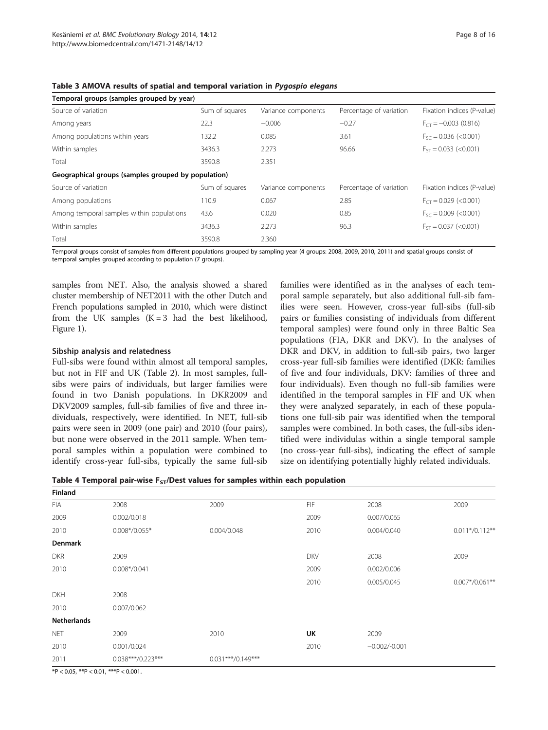| Temporal groups (samples grouped by year)           |                |                     |                         |                            |  |  |
|-----------------------------------------------------|----------------|---------------------|-------------------------|----------------------------|--|--|
| Source of variation                                 | Sum of squares | Variance components | Percentage of variation | Fixation indices (P-value) |  |  |
| Among years                                         | 22.3           | $-0.006$            | $-0.27$                 | $F_{CT} = -0.003$ (0.816)  |  |  |
| Among populations within years                      | 132.2          | 0.085               | 3.61                    | $F_{sc} = 0.036$ (<0.001)  |  |  |
| Within samples                                      | 3436.3         | 2.273               | 96.66                   | $F_{ST} = 0.033$ (<0.001)  |  |  |
| Total                                               | 3590.8         | 2.351               |                         |                            |  |  |
| Geographical groups (samples grouped by population) |                |                     |                         |                            |  |  |
| Source of variation                                 | Sum of squares | Variance components | Percentage of variation | Fixation indices (P-value) |  |  |
| Among populations                                   | 110.9          | 0.067               | 2.85                    | $F_{CT} = 0.029$ (<0.001)  |  |  |
| Among temporal samples within populations           | 43.6           | 0.020               | 0.85                    | $F_{sc} = 0.009$ (<0.001)  |  |  |
| Within samples                                      | 3436.3         | 2.273               | 96.3                    | $F_{ST} = 0.037$ (<0.001)  |  |  |
| Total                                               | 3590.8         | 2.360               |                         |                            |  |  |

<span id="page-8-0"></span>Table 3 AMOVA results of spatial and temporal variation in Pygospio elegans

Temporal groups consist of samples from different populations grouped by sampling year (4 groups: 2008, 2009, 2010, 2011) and spatial groups consist of temporal samples grouped according to population (7 groups).

samples from NET. Also, the analysis showed a shared cluster membership of NET2011 with the other Dutch and French populations sampled in 2010, which were distinct from the UK samples  $(K = 3$  had the best likelihood, Figure [1\)](#page-9-0).

#### Sibship analysis and relatedness

Full-sibs were found within almost all temporal samples, but not in FIF and UK (Table [2\)](#page-6-0). In most samples, fullsibs were pairs of individuals, but larger families were found in two Danish populations. In DKR2009 and DKV2009 samples, full-sib families of five and three individuals, respectively, were identified. In NET, full-sib pairs were seen in 2009 (one pair) and 2010 (four pairs), but none were observed in the 2011 sample. When temporal samples within a population were combined to identify cross-year full-sibs, typically the same full-sib

families were identified as in the analyses of each temporal sample separately, but also additional full-sib families were seen. However, cross-year full-sibs (full-sib pairs or families consisting of individuals from different temporal samples) were found only in three Baltic Sea populations (FIA, DKR and DKV). In the analyses of DKR and DKV, in addition to full-sib pairs, two larger cross-year full-sib families were identified (DKR: families of five and four individuals, DKV: families of three and four individuals). Even though no full-sib families were identified in the temporal samples in FIF and UK when they were analyzed separately, in each of these populations one full-sib pair was identified when the temporal samples were combined. In both cases, the full-sibs identified were individulas within a single temporal sample (no cross-year full-sibs), indicating the effect of sample size on identifying potentially highly related individuals.

Table 4 Temporal pair-wise  $F_{ST}/$ Dest values for samples within each population

| Finland            |                     |                     |            |                 |                  |
|--------------------|---------------------|---------------------|------------|-----------------|------------------|
| <b>FIA</b>         | 2008                | 2009                | FIF        | 2008            | 2009             |
| 2009               | 0.002/0.018         |                     | 2009       | 0.007/0.065     |                  |
| 2010               | $0.008*/0.055*$     | 0.004/0.048         | 2010       | 0.004/0.040     | $0.011*/0.112**$ |
| Denmark            |                     |                     |            |                 |                  |
| <b>DKR</b>         | 2009                |                     | <b>DKV</b> | 2008            | 2009             |
| 2010               | $0.008*/0.041$      |                     | 2009       | 0.002/0.006     |                  |
|                    |                     |                     | 2010       | 0.005/0.045     | $0.007*/0.061**$ |
| <b>DKH</b>         | 2008                |                     |            |                 |                  |
| 2010               | 0.007/0.062         |                     |            |                 |                  |
| <b>Netherlands</b> |                     |                     |            |                 |                  |
| <b>NET</b>         | 2009                | 2010                | UK         | 2009            |                  |
| 2010               | 0.001/0.024         |                     | 2010       | $-0.002/-0.001$ |                  |
| 2011               | $0.038***/0.223***$ | $0.031***/0.149***$ |            |                 |                  |
|                    | $\theta = 1$        |                     |            |                 |                  |

 $*P < 0.05$ ,  $*P < 0.01$ ,  $***P < 0.001$ .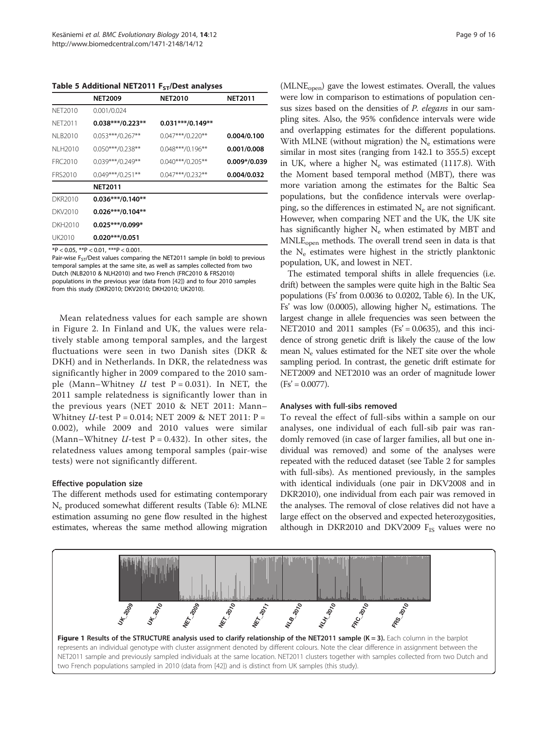<span id="page-9-0"></span>Table 5 Additional NET2011  $F_{ST}/$ Dest analyses

|                      | <b>NET2009</b>     | <b>NET2010</b>      | <b>NET2011</b> |
|----------------------|--------------------|---------------------|----------------|
| NFT2010              | 0.001/0.024        |                     |                |
| NFT2011              | $0.038***/0.223**$ | $0.031***/0.149**$  |                |
| NI B <sub>2010</sub> | $0.053***/0.267**$ | $0.047***/0.220**$  | 0.004/0.100    |
| NI H <sub>2010</sub> | $0.050***/0.238**$ | $0.048***$ /0.196** | 0.001/0.008    |
| FRC2010              | $0.039***/0.249**$ | $0.040***$ /0.205** | $0.009*/0.039$ |
| FRS2010              | $0.049***/0.251**$ | $0.047***$ /0.232** | 0.004/0.032    |
|                      | <b>NET2011</b>     |                     |                |
| DKR2010              | $0.036***/0.140**$ |                     |                |
| DKV2010              | $0.026***/0.104**$ |                     |                |
| DKH <sub>2010</sub>  | $0.025***/0.099*$  |                     |                |
| UK2010               | $0.020***$ /0.051  |                     |                |

\*P < 0.05, \*\*P < 0.01, \*\*\*P < 0.001.

Pair-wise  $F_{ST}/$ Dest values comparing the NET2011 sample (in bold) to previous temporal samples at the same site, as well as samples collected from two Dutch (NLB2010 & NLH2010) and two French (FRC2010 & FRS2010) populations in the previous year (data from [[42\]](#page-15-0)) and to four 2010 samples from this study (DKR2010; DKV2010; DKH2010; UK2010).

Mean relatedness values for each sample are shown in Figure [2.](#page-10-0) In Finland and UK, the values were relatively stable among temporal samples, and the largest fluctuations were seen in two Danish sites (DKR & DKH) and in Netherlands. In DKR, the relatedness was significantly higher in 2009 compared to the 2010 sample (Mann–Whitney  $U$  test  $P = 0.031$ ). In NET, the 2011 sample relatedness is significantly lower than in the previous years (NET 2010 & NET 2011: Mann– Whitney *U*-test  $P = 0.014$ ; NET 2009 & NET 2011:  $P =$ 0.002), while 2009 and 2010 values were similar (Mann–Whitney  $U$ -test P = 0.432). In other sites, the relatedness values among temporal samples (pair-wise tests) were not significantly different.

#### Effective population size

The different methods used for estimating contemporary Ne produced somewhat different results (Table [6\)](#page-10-0): MLNE estimation assuming no gene flow resulted in the highest estimates, whereas the same method allowing migration

(MLNE<sub>open</sub>) gave the lowest estimates. Overall, the values were low in comparison to estimations of population census sizes based on the densities of P. elegans in our sampling sites. Also, the 95% confidence intervals were wide and overlapping estimates for the different populations. With MLNE (without migration) the  $N_e$  estimations were similar in most sites (ranging from 142.1 to 355.5) except in UK, where a higher  $N_e$  was estimated (1117.8). With the Moment based temporal method (MBT), there was more variation among the estimates for the Baltic Sea populations, but the confidence intervals were overlapping, so the differences in estimated  $N_e$  are not significant. However, when comparing NET and the UK, the UK site has significantly higher  $N_e$  when estimated by MBT and  $MNLE<sub>open</sub>$  methods. The overall trend seen in data is that the  $N_e$  estimates were highest in the strictly planktonic population, UK, and lowest in NET.

The estimated temporal shifts in allele frequencies (i.e. drift) between the samples were quite high in the Baltic Sea populations (Fs' from 0.0036 to 0.0202, Table [6\)](#page-10-0). In the UK, Fs' was low (0.0005), allowing higher  $N_e$  estimations. The largest change in allele frequencies was seen between the NET2010 and 2011 samples  $(Fs' = 0.0635)$ , and this incidence of strong genetic drift is likely the cause of the low mean N<sub>e</sub> values estimated for the NET site over the whole sampling period. In contrast, the genetic drift estimate for NET2009 and NET2010 was an order of magnitude lower  $(Fs' = 0.0077)$ .

#### Analyses with full-sibs removed

To reveal the effect of full-sibs within a sample on our analyses, one individual of each full-sib pair was randomly removed (in case of larger families, all but one individual was removed) and some of the analyses were repeated with the reduced dataset (see Table [2](#page-6-0) for samples with full-sibs). As mentioned previously, in the samples with identical individuals (one pair in DKV2008 and in DKR2010), one individual from each pair was removed in the analyses. The removal of close relatives did not have a large effect on the observed and expected heterozygosities, although in DKR2010 and DKV2009  $F_{IS}$  values were no

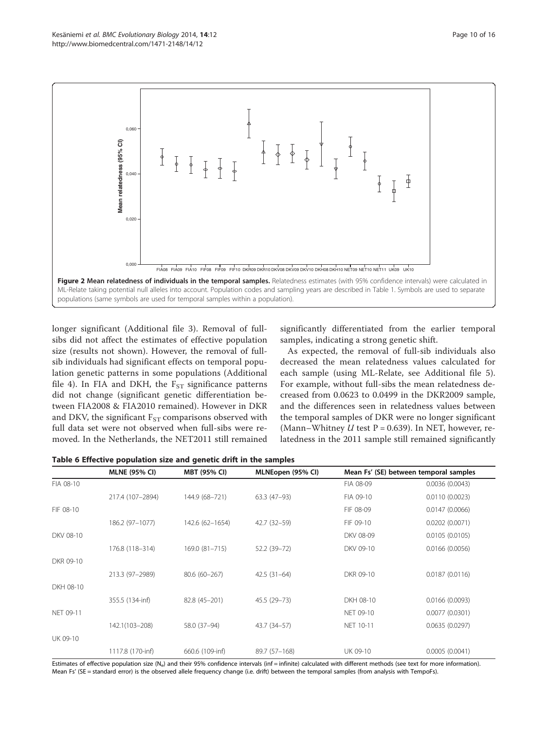<span id="page-10-0"></span>

longer significant (Additional file [3\)](#page-14-0). Removal of fullsibs did not affect the estimates of effective population size (results not shown). However, the removal of fullsib individuals had significant effects on temporal population genetic patterns in some populations (Additional file [4\)](#page-14-0). In FIA and DKH, the  $F_{ST}$  significance patterns did not change (significant genetic differentiation between FIA2008 & FIA2010 remained). However in DKR and DKV, the significant  $F_{ST}$  comparisons observed with full data set were not observed when full-sibs were removed. In the Netherlands, the NET2011 still remained significantly differentiated from the earlier temporal samples, indicating a strong genetic shift.

As expected, the removal of full-sib individuals also decreased the mean relatedness values calculated for each sample (using ML-Relate, see Additional file [5](#page-14-0)). For example, without full-sibs the mean relatedness decreased from 0.0623 to 0.0499 in the DKR2009 sample, and the differences seen in relatedness values between the temporal samples of DKR were no longer significant (Mann–Whitney  $U$  test  $P = 0.639$ ). In NET, however, relatedness in the 2011 sample still remained significantly

|  |  |  | Table 6 Effective population size and genetic drift in the samples |  |
|--|--|--|--------------------------------------------------------------------|--|
|--|--|--|--------------------------------------------------------------------|--|

|           | <b>MLNE (95% CI)</b> | MBT (95% CI)    | MLNEopen (95% CI) |           | Mean Fs' (SE) between temporal samples |  |
|-----------|----------------------|-----------------|-------------------|-----------|----------------------------------------|--|
| FIA 08-10 |                      |                 |                   | FIA 08-09 | 0.0036(0.0043)                         |  |
|           | 217.4 (107-2894)     | 144.9 (68-721)  | $63.3(47-93)$     | FIA 09-10 | 0.0110(0.0023)                         |  |
| FIF 08-10 |                      |                 |                   | FIF 08-09 | 0.0147(0.0066)                         |  |
|           | 186.2 (97-1077)      | 142.6 (62-1654) | 42.7 (32-59)      | FIF 09-10 | 0.0202(0.0071)                         |  |
| DKV 08-10 |                      |                 |                   | DKV 08-09 | 0.0105(0.0105)                         |  |
|           | 176.8 (118-314)      | 169.0 (81-715)  | 52.2 (39-72)      | DKV 09-10 | 0.0166(0.0056)                         |  |
| DKR 09-10 |                      |                 |                   |           |                                        |  |
|           | 213.3 (97-2989)      | 80.6 (60-267)   | $42.5(31-64)$     | DKR 09-10 | 0.0187(0.0116)                         |  |
| DKH 08-10 |                      |                 |                   |           |                                        |  |
|           | 355.5 (134-inf)      | 82.8 (45-201)   | 45.5 (29-73)      | DKH 08-10 | 0.0166(0.0093)                         |  |
| NET 09-11 |                      |                 |                   | NET 09-10 | 0.0077(0.0301)                         |  |
|           | 142.1(103-208)       | 58.0 (37-94)    | 43.7 (34-57)      | NET 10-11 | 0.0635(0.0297)                         |  |
| UK 09-10  |                      |                 |                   |           |                                        |  |
|           | 1117.8 (170-inf)     | 660.6 (109-inf) | 89.7 (57-168)     | UK 09-10  | 0.0005(0.0041)                         |  |

Estimates of effective population size (N<sub>e</sub>) and their 95% confidence intervals (inf = infinite) calculated with different methods (see text for more information). Mean Fs' (SE = standard error) is the observed allele frequency change (i.e. drift) between the temporal samples (from analysis with TempoFs).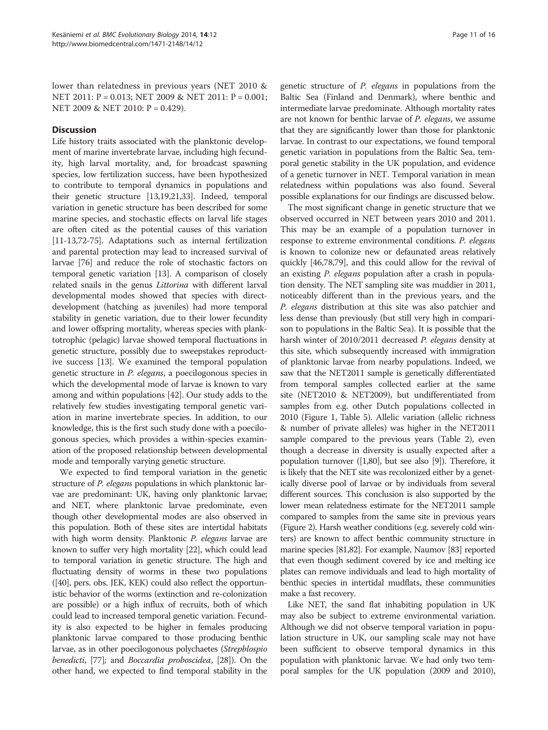<span id="page-11-0"></span>lower than relatedness in previous years (NET 2010 & NET 2011: P = 0.013; NET 2009 & NET 2011: P = 0.001; NET 2009 & NET 2010: P = 0.429).

#### **Discussion**

Life history traits associated with the planktonic development of marine invertebrate larvae, including high fecundity, high larval mortality, and, for broadcast spawning species, low fertilization success, have been hypothesized to contribute to temporal dynamics in populations and their genetic structure [\[13,19,21](#page-14-0)[,33\]](#page-15-0). Indeed, temporal variation in genetic structure has been described for some marine species, and stochastic effects on larval life stages are often cited as the potential causes of this variation [[11](#page-14-0)-[13](#page-14-0),[72](#page-15-0)-[75](#page-15-0)]. Adaptations such as internal fertilization and parental protection may lead to increased survival of larvae [\[76\]](#page-15-0) and reduce the role of stochastic factors on temporal genetic variation [\[13](#page-14-0)]. A comparison of closely related snails in the genus Littorina with different larval developmental modes showed that species with directdevelopment (hatching as juveniles) had more temporal stability in genetic variation, due to their lower fecundity and lower offspring mortality, whereas species with planktotrophic (pelagic) larvae showed temporal fluctuations in genetic structure, possibly due to sweepstakes reproductive success [\[13\]](#page-14-0). We examined the temporal population genetic structure in P. elegans, a poecilogonous species in which the developmental mode of larvae is known to vary among and within populations [\[42\]](#page-15-0). Our study adds to the relatively few studies investigating temporal genetic variation in marine invertebrate species. In addition, to our knowledge, this is the first such study done with a poecilogonous species, which provides a within-species examination of the proposed relationship between developmental mode and temporally varying genetic structure.

We expected to find temporal variation in the genetic structure of *P. elegans* populations in which planktonic larvae are predominant: UK, having only planktonic larvae; and NET, where planktonic larvae predominate, even though other developmental modes are also observed in this population. Both of these sites are intertidal habitats with high worm density. Planktonic P. elegans larvae are known to suffer very high mortality [\[22\]](#page-14-0), which could lead to temporal variation in genetic structure. The high and fluctuating density of worms in these two populations ([[40](#page-15-0)], pers. obs. JEK, KEK) could also reflect the opportunistic behavior of the worms (extinction and re-colonization are possible) or a high influx of recruits, both of which could lead to increased temporal genetic variation. Fecundity is also expected to be higher in females producing planktonic larvae compared to those producing benthic larvae, as in other poecilogonous polychaetes (Strepblospio benedicti, [\[77\]](#page-15-0); and Boccardia proboscidea, [[28](#page-15-0)]). On the other hand, we expected to find temporal stability in the

genetic structure of P. elegans in populations from the Baltic Sea (Finland and Denmark), where benthic and intermediate larvae predominate. Although mortality rates are not known for benthic larvae of P. elegans, we assume that they are significantly lower than those for planktonic larvae. In contrast to our expectations, we found temporal genetic variation in populations from the Baltic Sea, temporal genetic stability in the UK population, and evidence of a genetic turnover in NET. Temporal variation in mean relatedness within populations was also found. Several possible explanations for our findings are discussed below.

The most significant change in genetic structure that we observed occurred in NET between years 2010 and 2011. This may be an example of a population turnover in response to extreme environmental conditions. P. elegans is known to colonize new or defaunated areas relatively quickly [\[46,](#page-15-0)[78,79](#page-16-0)], and this could allow for the revival of an existing P. elegans population after a crash in population density. The NET sampling site was muddier in 2011, noticeably different than in the previous years, and the P. elegans distribution at this site was also patchier and less dense than previously (but still very high in comparison to populations in the Baltic Sea). It is possible that the harsh winter of 2010/2011 decreased P. elegans density at this site, which subsequently increased with immigration of planktonic larvae from nearby populations. Indeed, we saw that the NET2011 sample is genetically differentiated from temporal samples collected earlier at the same site (NET2010 & NET2009), but undifferentiated from samples from e.g. other Dutch populations collected in 2010 (Figure [1](#page-9-0), Table [5\)](#page-9-0). Allelic variation (allelic richness & number of private alleles) was higher in the NET2011 sample compared to the previous years (Table [2](#page-6-0)), even though a decrease in diversity is usually expected after a population turnover ([\[1,](#page-14-0)[80\]](#page-16-0), but see also [[9](#page-14-0)]). Therefore, it is likely that the NET site was recolonized either by a genetically diverse pool of larvae or by individuals from several different sources. This conclusion is also supported by the lower mean relatedness estimate for the NET2011 sample compared to samples from the same site in previous years (Figure [2\)](#page-10-0). Harsh weather conditions (e.g. severely cold winters) are known to affect benthic community structure in marine species [\[81,82](#page-16-0)]. For example, Naumov [\[83](#page-16-0)] reported that even though sediment covered by ice and melting ice plates can remove individuals and lead to high mortality of benthic species in intertidal mudflats, these communities make a fast recovery.

Like NET, the sand flat inhabiting population in UK may also be subject to extreme environmental variation. Although we did not observe temporal variation in population structure in UK, our sampling scale may not have been sufficient to observe temporal dynamics in this population with planktonic larvae. We had only two temporal samples for the UK population (2009 and 2010),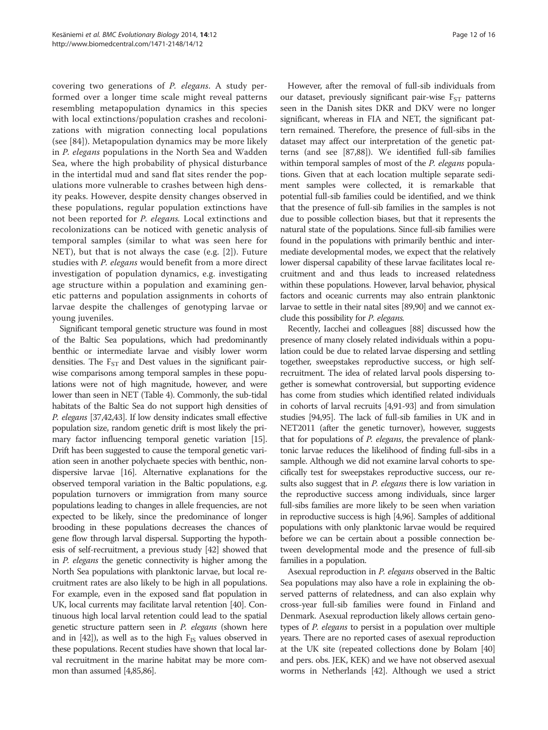covering two generations of P. elegans. A study performed over a longer time scale might reveal patterns resembling metapopulation dynamics in this species with local extinctions/population crashes and recolonizations with migration connecting local populations (see [[84\]](#page-16-0)). Metapopulation dynamics may be more likely in P. elegans populations in the North Sea and Wadden Sea, where the high probability of physical disturbance in the intertidal mud and sand flat sites render the populations more vulnerable to crashes between high density peaks. However, despite density changes observed in these populations, regular population extinctions have not been reported for P. elegans. Local extinctions and recolonizations can be noticed with genetic analysis of temporal samples (similar to what was seen here for NET), but that is not always the case (e.g. [\[2](#page-14-0)]). Future studies with P. elegans would benefit from a more direct investigation of population dynamics, e.g. investigating age structure within a population and examining genetic patterns and population assignments in cohorts of larvae despite the challenges of genotyping larvae or young juveniles.

Significant temporal genetic structure was found in most of the Baltic Sea populations, which had predominantly benthic or intermediate larvae and visibly lower worm densities. The  $F_{ST}$  and Dest values in the significant pairwise comparisons among temporal samples in these populations were not of high magnitude, however, and were lower than seen in NET (Table [4\)](#page-8-0). Commonly, the sub-tidal habitats of the Baltic Sea do not support high densities of P. elegans [\[37,42,43](#page-15-0)]. If low density indicates small effective population size, random genetic drift is most likely the primary factor influencing temporal genetic variation [\[15](#page-14-0)]. Drift has been suggested to cause the temporal genetic variation seen in another polychaete species with benthic, nondispersive larvae [\[16\]](#page-14-0). Alternative explanations for the observed temporal variation in the Baltic populations, e.g. population turnovers or immigration from many source populations leading to changes in allele frequencies, are not expected to be likely, since the predominance of longer brooding in these populations decreases the chances of gene flow through larval dispersal. Supporting the hypothesis of self-recruitment, a previous study [\[42](#page-15-0)] showed that in P. elegans the genetic connectivity is higher among the North Sea populations with planktonic larvae, but local recruitment rates are also likely to be high in all populations. For example, even in the exposed sand flat population in UK, local currents may facilitate larval retention [\[40](#page-15-0)]. Continuous high local larval retention could lead to the spatial genetic structure pattern seen in *P. elegans* (shown here and in  $[42]$ ), as well as to the high  $F_{IS}$  values observed in these populations. Recent studies have shown that local larval recruitment in the marine habitat may be more common than assumed [\[4,](#page-14-0)[85,86\]](#page-16-0).

However, after the removal of full-sib individuals from our dataset, previously significant pair-wise  $F_{ST}$  patterns seen in the Danish sites DKR and DKV were no longer significant, whereas in FIA and NET, the significant pattern remained. Therefore, the presence of full-sibs in the dataset may affect our interpretation of the genetic patterns (and see [[87,88](#page-16-0)]). We identified full-sib families within temporal samples of most of the *P. elegans* populations. Given that at each location multiple separate sediment samples were collected, it is remarkable that potential full-sib families could be identified, and we think that the presence of full-sib families in the samples is not due to possible collection biases, but that it represents the natural state of the populations. Since full-sib families were found in the populations with primarily benthic and intermediate developmental modes, we expect that the relatively lower dispersal capability of these larvae facilitates local recruitment and and thus leads to increased relatedness within these populations. However, larval behavior, physical factors and oceanic currents may also entrain planktonic larvae to settle in their natal sites [\[89,90](#page-16-0)] and we cannot exclude this possibility for P. elegans.

Recently, Iacchei and colleagues [\[88\]](#page-16-0) discussed how the presence of many closely related individuals within a population could be due to related larvae dispersing and settling together, sweepstakes reproductive success, or high selfrecruitment. The idea of related larval pools dispersing together is somewhat controversial, but supporting evidence has come from studies which identified related individuals in cohorts of larval recruits [\[4,](#page-14-0)[91](#page-16-0)-[93\]](#page-16-0) and from simulation studies [[94,95](#page-16-0)]. The lack of full-sib families in UK and in NET2011 (after the genetic turnover), however, suggests that for populations of *P. elegans*, the prevalence of planktonic larvae reduces the likelihood of finding full-sibs in a sample. Although we did not examine larval cohorts to specifically test for sweepstakes reproductive success, our results also suggest that in *P. elegans* there is low variation in the reproductive success among individuals, since larger full-sibs families are more likely to be seen when variation in reproductive success is high [\[4](#page-14-0)[,96\]](#page-16-0). Samples of additional populations with only planktonic larvae would be required before we can be certain about a possible connection between developmental mode and the presence of full-sib families in a population.

Asexual reproduction in P. elegans observed in the Baltic Sea populations may also have a role in explaining the observed patterns of relatedness, and can also explain why cross-year full-sib families were found in Finland and Denmark. Asexual reproduction likely allows certain genotypes of P. elegans to persist in a population over multiple years. There are no reported cases of asexual reproduction at the UK site (repeated collections done by Bolam [\[40](#page-15-0)] and pers. obs. JEK, KEK) and we have not observed asexual worms in Netherlands [[42](#page-15-0)]. Although we used a strict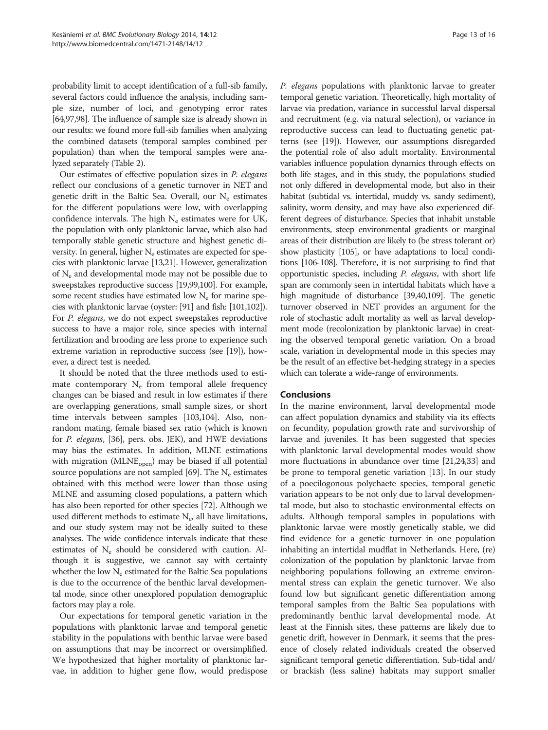probability limit to accept identification of a full-sib family, several factors could influence the analysis, including sample size, number of loci, and genotyping error rates [[64](#page-15-0)[,97,98](#page-16-0)]. The influence of sample size is already shown in our results: we found more full-sib families when analyzing the combined datasets (temporal samples combined per population) than when the temporal samples were analyzed separately (Table [2\)](#page-6-0).

Our estimates of effective population sizes in P. elegans reflect our conclusions of a genetic turnover in NET and genetic drift in the Baltic Sea. Overall, our  $N_e$  estimates for the different populations were low, with overlapping confidence intervals. The high  $N_e$  estimates were for UK, the population with only planktonic larvae, which also had temporally stable genetic structure and highest genetic diversity. In general, higher  $N_e$  estimates are expected for species with planktonic larvae [[13,21](#page-14-0)]. However, generalization of  $N_e$  and developmental mode may not be possible due to sweepstakes reproductive success [\[19,](#page-14-0)[99,100](#page-16-0)]. For example, some recent studies have estimated low  $N_e$  for marine species with planktonic larvae (oyster: [\[91\]](#page-16-0) and fish: [\[101,102](#page-16-0)]). For P. elegans, we do not expect sweepstakes reproductive success to have a major role, since species with internal fertilization and brooding are less prone to experience such extreme variation in reproductive success (see [\[19\]](#page-14-0)), however, a direct test is needed.

It should be noted that the three methods used to estimate contemporary  $N_e$  from temporal allele frequency changes can be biased and result in low estimates if there are overlapping generations, small sample sizes, or short time intervals between samples [\[103,104](#page-16-0)]. Also, nonrandom mating, female biased sex ratio (which is known for P. elegans, [[36](#page-15-0)], pers. obs. JEK), and HWE deviations may bias the estimates. In addition, MLNE estimations with migration (MLNE<sub>open</sub>) may be biased if all potential source populations are not sampled [\[69](#page-15-0)]. The  $N_e$  estimates obtained with this method were lower than those using MLNE and assuming closed populations, a pattern which has also been reported for other species [\[72](#page-15-0)]. Although we used different methods to estimate  $N_e$ , all have limitations, and our study system may not be ideally suited to these analyses. The wide confidence intervals indicate that these estimates of  $N_e$  should be considered with caution. Although it is suggestive, we cannot say with certainty whether the low  $N_e$  estimated for the Baltic Sea populations is due to the occurrence of the benthic larval developmental mode, since other unexplored population demographic factors may play a role.

Our expectations for temporal genetic variation in the populations with planktonic larvae and temporal genetic stability in the populations with benthic larvae were based on assumptions that may be incorrect or oversimplified. We hypothesized that higher mortality of planktonic larvae, in addition to higher gene flow, would predispose P. elegans populations with planktonic larvae to greater temporal genetic variation. Theoretically, high mortality of larvae via predation, variance in successful larval dispersal and recruitment (e.g. via natural selection), or variance in reproductive success can lead to fluctuating genetic patterns (see [\[19\]](#page-14-0)). However, our assumptions disregarded the potential role of also adult mortality. Environmental variables influence population dynamics through effects on both life stages, and in this study, the populations studied not only differed in developmental mode, but also in their habitat (subtidal vs. intertidal, muddy vs. sandy sediment), salinity, worm density, and may have also experienced different degrees of disturbance. Species that inhabit unstable environments, steep environmental gradients or marginal areas of their distribution are likely to (be stress tolerant or) show plasticity [\[105](#page-16-0)], or have adaptations to local conditions [\[106-108](#page-16-0)]. Therefore, it is not surprising to find that opportunistic species, including P. elegans, with short life span are commonly seen in intertidal habitats which have a high magnitude of disturbance [\[39,40,](#page-15-0)[109\]](#page-16-0). The genetic turnover observed in NET provides an argument for the role of stochastic adult mortality as well as larval development mode (recolonization by planktonic larvae) in creating the observed temporal genetic variation. On a broad scale, variation in developmental mode in this species may be the result of an effective bet-hedging strategy in a species which can tolerate a wide-range of environments.

#### Conclusions

In the marine environment, larval developmental mode can affect population dynamics and stability via its effects on fecundity, population growth rate and survivorship of larvae and juveniles. It has been suggested that species with planktonic larval developmental modes would show more fluctuations in abundance over time [\[21,24](#page-14-0)[,33\]](#page-15-0) and be prone to temporal genetic variation [\[13\]](#page-14-0). In our study of a poecilogonous polychaete species, temporal genetic variation appears to be not only due to larval developmental mode, but also to stochastic environmental effects on adults. Although temporal samples in populations with planktonic larvae were mostly genetically stable, we did find evidence for a genetic turnover in one population inhabiting an intertidal mudflat in Netherlands. Here, (re) colonization of the population by planktonic larvae from neighboring populations following an extreme environmental stress can explain the genetic turnover. We also found low but significant genetic differentiation among temporal samples from the Baltic Sea populations with predominantly benthic larval developmental mode. At least at the Finnish sites, these patterns are likely due to genetic drift, however in Denmark, it seems that the presence of closely related individuals created the observed significant temporal genetic differentiation. Sub-tidal and/ or brackish (less saline) habitats may support smaller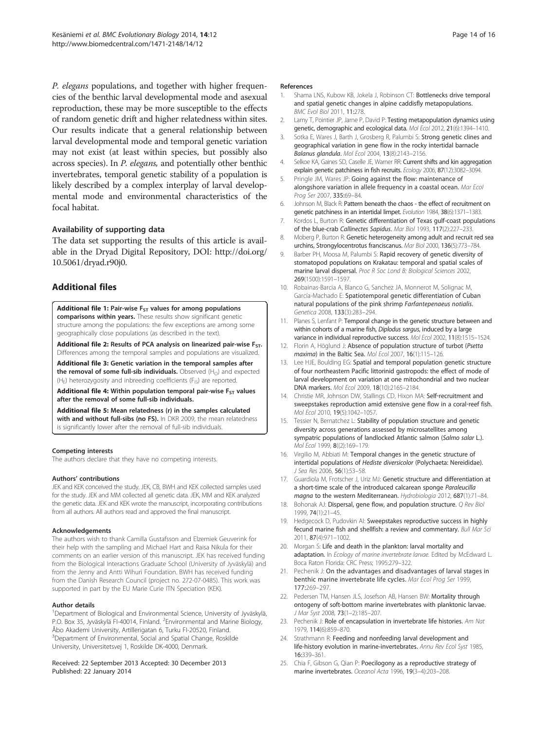<span id="page-14-0"></span>P. elegans populations, and together with higher frequencies of the benthic larval developmental mode and asexual reproduction, these may be more susceptible to the effects of random genetic drift and higher relatedness within sites. Our results indicate that a general relationship between larval developmental mode and temporal genetic variation may not exist (at least within species, but possibly also across species). In P. elegans, and potentially other benthic invertebrates, temporal genetic stability of a population is likely described by a complex interplay of larval developmental mode and environmental characteristics of the focal habitat.

#### Availability of supporting data

The data set supporting the results of this article is available in the Dryad Digital Repository, DOI: [http://doi.org/](http://doi.org/10.5061/dryad.r90j0) [10.5061/dryad.r90j0](http://doi.org/10.5061/dryad.r90j0).

#### Additional files

#### [Additional file 1:](http://www.biomedcentral.com/content/supplementary/1471-2148-14-12-S1.pdf) Pair-wise  $F_{ST}$  values for among populations comparisons within years. These results show significant genetic

structure among the populations: the few exceptions are among some geographically close populations (as described in the text).

[Additional file 2:](http://www.biomedcentral.com/content/supplementary/1471-2148-14-12-S2.pdf) Results of PCA analysis on linearized pair-wise  $F_{ST}$ . Differences among the temporal samples and populations are visualized.

[Additional file 3:](http://www.biomedcentral.com/content/supplementary/1471-2148-14-12-S3.pdf) Genetic variation in the temporal samples after the removal of some full-sib individuals. Observed  $(H<sub>O</sub>)$  and expected (H<sub>E</sub>) heterozygosity and inbreeding coefficients (F<sub>IS</sub>) are reported.

[Additional file 4:](http://www.biomedcentral.com/content/supplementary/1471-2148-14-12-S4.pdf) Within population temporal pair-wise  $F_{ST}$  values after the removal of some full-sib individuals.

[Additional file 5:](http://www.biomedcentral.com/content/supplementary/1471-2148-14-12-S5.pdf) Mean relatedness (r) in the samples calculated with and without full-sibs (no FS). In DKR 2009, the mean relatedness is significantly lower after the removal of full-sib individuals.

#### Competing interests

The authors declare that they have no competing interests.

#### Authors' contributions

JEK and KEK conceived the study. JEK, CB, BWH and KEK collected samples used for the study. JEK and MM collected all genetic data. JEK, MM and KEK analyzed the genetic data. JEK and KEK wrote the manuscript, incorporating contributions from all authors. All authors read and approved the final manuscript.

#### Acknowledgements

The authors wish to thank Camilla Gustafsson and Elzemiek Geuverink for their help with the sampling and Michael Hart and Raisa Nikula for their comments on an earlier version of this manuscript. JEK has received funding from the Biological Interactions Graduate School (University of Jyväskylä) and from the Jenny and Antti Wihuri Foundation. BWH has received funding from the Danish Research Council (project no. 272-07-0485). This work was supported in part by the EU Marie Curie ITN Speciation (KEK).

#### Author details

<sup>1</sup>Department of Biological and Environmental Science, University of Jyväskylä, P.O. Box 35, Jyväskylä FI-40014, Finland. <sup>2</sup> Environmental and Marine Biology, Åbo Akademi University, Artillerigatan 6, Turku FI-20520, Finland. <sup>3</sup>Department of Environmental, Social and Spatial Change, Roskilde University, Universitetsvej 1, Roskilde DK-4000, Denmark.

#### Received: 22 September 2013 Accepted: 30 December 2013 Published: 22 January 2014

#### References

- 1. Shama LNS, Kubow KB, Jokela J, Robinson CT: Bottlenecks drive temporal and spatial genetic changes in alpine caddisfly metapopulations. BMC Evol Biol 2011, 11:278.
- 2. Lamy T, Pointier JP, Jarne P, David P: Testing metapopulation dynamics using genetic, demographic and ecological data. Mol Ecol 2012, 21(6):1394–1410.
- 3. Sotka E, Wares J, Barth J, Grosberg R, Palumbi S: Strong genetic clines and geographical variation in gene flow in the rocky intertidal barnacle Balanus glandula. Mol Ecol 2004, 13(8):2143–2156.
- 4. Selkoe KA, Gaines SD, Caselle JE, Warner RR: Current shifts and kin aggregation explain genetic patchiness in fish recruits. Ecology 2006, 87(12):3082–3094.
- 5. Pringle JM, Wares JP: Going against the flow: maintenance of alongshore variation in allele frequency in a coastal ocean. Mar Ecol Prog Ser 2007, 335:69–84.
- 6. Johnson M, Black R: Pattern beneath the chaos the effect of recruitment on genetic patchiness in an intertidal limpet. Evolution 1984, 38(6):1371–1383.
- 7. Kordos L, Burton R: Genetic differentiation of Texas gulf-coast populations of the blue-crab Callinectes Sapidus. Mar Biol 1993, 117(2):227–233.
- 8. Moberg P, Burton R: Genetic heterogeneity among adult and recruit red sea urchins, Strongylocentrotus franciscanus. Mar Biol 2000, 136(5):773–784.
- 9. Barber PH, Moosa M, Palumbi S: Rapid recovery of genetic diversity of stomatopod populations on Krakatau: temporal and spatial scales of marine larval dispersal. Proc R Soc Lond B: Biological Sciences 2002, 269(1500):1591–1597.
- 10. Robainas-Barcia A, Blanco G, Sanchez JA, Monnerot M, Solignac M, García-Machado E: Spatiotemporal genetic differentiation of Cuban natural populations of the pink shrimp Farfantepenaeus notialis. Genetica 2008, 133(3):283–294.
- 11. Planes S, Lenfant P: Temporal change in the genetic structure between and within cohorts of a marine fish, Diplodus saraus, induced by a large variance in individual reproductive success. Mol Ecol 2002, 11(8):1515–1524.
- 12. Florin A, Höglund J: Absence of population structure of turbot (Psetta maxima) in the Baltic Sea. Mol Ecol 2007, 16(1):115-126.
- 13. Lee HJE, Boulding EG: Spatial and temporal population genetic structure of four northeastern Pacific littorinid gastropods: the effect of mode of larval development on variation at one mitochondrial and two nuclear DNA markers. Mol Ecol 2009, 18(10):2165–2184.
- 14. Christie MR, Johnson DW, Stallings CD, Hixon MA: Self-recruitment and sweepstakes reproduction amid extensive gene flow in a coral-reef fish. Mol Ecol 2010, 19(5):1042–1057.
- 15. Tessier N, Bernatchez L: Stability of population structure and genetic diversity across generations assessed by microsatellites among sympatric populations of landlocked Atlantic salmon (Salmo salar L.). Mol Ecol 1999, 8((2):169–179.
- 16. Virgilio M, Abbiati M: Temporal changes in the genetic structure of intertidal populations of Hediste diversicolor (Polychaeta: Nereididae). J Sea Res 2006, 56(1):53-58.
- 17. Guardiola M, Frotscher J, Uriz MJ: Genetic structure and differentiation at a short-time scale of the introduced calcarean sponge Paraleucilla magna to the western Mediterranean. Hydrobiologia 2012, 687(1):71–84.
- 18. Bohonak AJ: Dispersal, gene flow, and population structure. Q Rev Biol 1999, 74(1):21–45.
- 19. Hedgecock D, Pudovkin AI: Sweepstakes reproductive success in highly fecund marine fish and shellfish: a review and commentary. Bull Mar Sci 2011, 87(4):971–1002.
- 20. Morgan S: Life and death in the plankton: larval mortality and adaptation. In Ecology of marine invertebrate larvae. Edited by McEdward L. Boca Raton Florida: CRC Press; 1995:279–322.
- 21. Pechenik J: On the advantages and disadvantages of larval stages in benthic marine invertebrate life cycles. Mar Ecol Prog Ser 1999, 177:269–297.
- 22. Pedersen TM, Hansen JLS, Josefson AB, Hansen BW: Mortality through ontogeny of soft-bottom marine invertebrates with planktonic larvae. J Mar Syst 2008, 73(1–2):185–207.
- 23. Pechenik J: Role of encapsulation in invertebrate life histories. Am Nat 1979, 114(6):859–870.
- 24. Strathmann R: Feeding and nonfeeding larval development and life-history evolution in marine-invertebrates. Annu Rev Ecol Syst 1985, 16:339–361.
- 25. Chia F, Gibson G, Qian P: Poecilogony as a reproductive strategy of marine invertebrates. Oceanol Acta 1996, 19(3–4):203–208.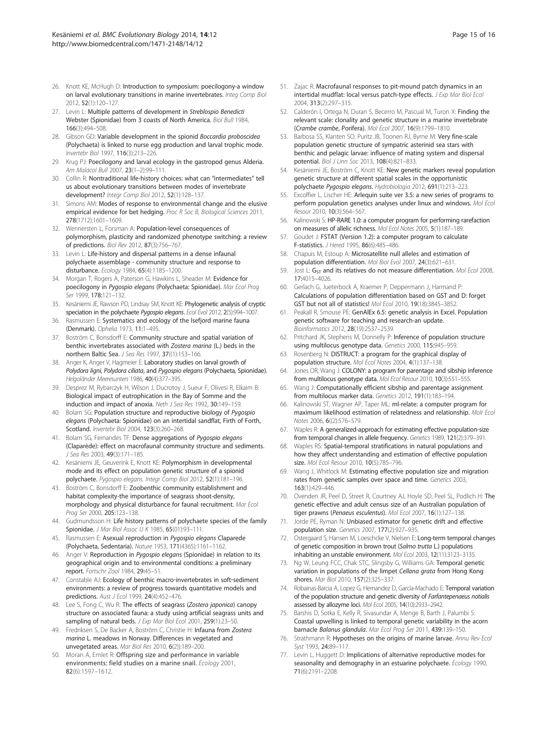- <span id="page-15-0"></span>26. Knott KE, McHugh D: Introduction to symposium: poecilogony-a window on larval evolutionary transitions in marine invertebrates. Integ Comp Biol 2012, 52(1):120–127.
- 27. Levin L: Multiple patterns of development in Streblospio Benedicti Webster (Spionidae) from 3 coasts of North America. Biol Bull 1984, 166(3):494–508.
- 28. Gibson GD: Variable development in the spionid Boccardia proboscidea (Polychaeta) is linked to nurse egg production and larval trophic mode. Invertebr Biol 1997, 116(3):213–226.
- 29. Krug PJ: Poecilogony and larval ecology in the gastropod genus Alderia. Am Malacol Bull 2007, 23(1–2):99–111.
- 30. Collin R: Nontraditional life-history choices: what can "intermediates" tell us about evolutionary transitions between modes of invertebrate development? Integr Comp Biol 2012, 52(1):128–137.
- 31. Simons AM: Modes of response to environmental change and the elusive empirical evidence for bet hedging. Proc R Soc B, Biological Sciences 2011, 278(1712):1601–1609.
- 32. Wennersten L, Forsman A: Population-level consequences of polymorphism, plasticity and randomized phenotype switching: a review of predictions. Biol Rev 2012, 87(3):756–767.
- 33. Levin L: Life-history and dispersal patterns in a dense infaunal polychaete assemblage - community structure and response to disturbance. Ecology 1984, 65(4):1185–1200.
- 34. Morgan T, Rogers A, Paterson G, Hawkins L, Sheader M: Evidence for poecilogony in Pygospio elegans (Polychaeta: Spionidae). Mar Ecol Prog Ser 1999, 178:121–132.
- 35. Kesäniemi JE, Rawson PD, Lindsay SM, Knott KE: Phylogenetic analysis of cryptic speciation in the polychaete Pygospio elegans. Ecol Evol 2012, 2(5):994-1007.
- 36. Rasmussen E: Systematics and ecology of the Isefjord marine fauna (Denmark). Ophelia 1973, 11:1–495.
- 37. Boström C, Bonsdorff E: Community structure and spatial variation of benthic invertebrates associated with Zostera marina (L.) beds in the northern Baltic Sea. J Sea Res 1997, 37((1):153–166.
- 38. Anger K, Anger V, Hagmeier E: Laboratory studies on larval growth of Polydora ligni, Polydora ciliata, and Pygospio elegans (Polychaeta, Spionidae). Helgoländer Meeresunters 1986, 40(4):377–395.
- 39. Desprez M, Rybarczyk H, Wilson J, Ducrotoy J, Sueur F, Olivesi R, Elkaim B: Biological impact of eutrophication in the Bay of Somme and the induction and impact of anoxia. Neth J Sea Res 1992, 30:149-159.
- 40. Bolam SG: Population structure and reproductive biology of Pygospio elegans (Polychaeta: Spionidae) on an intertidal sandflat, Firth of Forth, Scotland. Invertebr Biol 2004, 123(3):260–268.
- 41. Bolam SG, Fernandes TF: Dense aggregations of Pygospio elegans (Claparède): effect on macrofaunal community structure and sediments. J Sea Res 2003, 49(3):171–185.
- 42. Kesäniemi JE, Geuverink E, Knott KE: Polymorphism in developmental mode and its effect on population genetic structure of a spionid polychaete. Pygospio elegans. Integr Comp Biol 2012, 52(1):181–196.
- 43. Boström C, Bonsdorff E: Zoobenthic community establishment and habitat complexity-the importance of seagrass shoot-density, morphology and physical disturbance for faunal recruitment. Mar Ecol Prog Ser 2000, 205:123–138.
- 44. Gudmundsson H: Life history patterns of polychaete species of the family Spionidae. J Mar Biol Assoc U K 1985, 65(01):93-111.
- 45. Rasmussen E: Asexual reproduction in Pygospio elegans Claparede (Polychaeta, Sedentaria). Nature 1953, 171(4365):1161–1162.
- 46. Anger V: Reproduction in Pygospio elegans (Spionidae) in relation to its geographical origin and to environmental conditions: a preliminary report. Fortschr Zool 1984, 29:45–51.
- 47. Constable AJ: Ecology of benthic macro-invertebrates in soft-sediment environments: a review of progress towards quantitative models and predictions. Aust J Ecol 1999, 24(4):452–476.
- 48. Lee S, Fong C, Wu R: The effects of seagrass (Zostera japonica) canopy structure on associated fauna: a study using artificial seagrass units and sampling of natural beds. J Exp Mar Biol Ecol 2001, 259(1):23-50.
- 49. Fredriksen S, De Backer A, Boström C, Christie H: Infauna from Zostera marina L. meadows in Norway. Differences in vegetated and unvegetated areas. Mar Biol Res 2010, 6(2)):189–200.
- 50. Moran A, Emlet R: Offspring size and performance in variable environments: field studies on a marine snail. Ecology 2001, 82(6):1597–1612.
- 51. Zajac R: Macrofaunal responses to pit-mound patch dynamics in an intertidal mudflat: local versus patch-type effects. J Exp Mar Biol Ecol 2004, 313(2):297–315.
- 52. Calderón I, Ortega N, Duran S, Becerro M, Pascual M, Turon X: Finding the relevant scale: clonality and genetic structure in a marine invertebrate (Crambe crambe, Porifera). Mol Ecol 2007, 16(9):1799–1810.
- 53. Barbosa SS, Klanten SO, Puritz JB, Toonen RJ, Byrne M: Very fine-scale population genetic structure of sympatric asterinid sea stars with benthic and pelagic larvae: influence of mating system and dispersal potential. Biol J Linn Soc 2013, 108(4):821–833.
- Kesäniemi JE, Boström C, Knott KE: New genetic markers reveal population genetic structure at different spatial scales in the opportunistic polychaete Pygospio elegans. Hydrobiologia 2012, 691(1):213–223.
- 55. Excoffier L, Lischer HE: Arlequin suite ver 3.5: a new series of programs to perform population genetics analyses under linux and windows. Mol Ecol Resour 2010, 10(3):564–567.
- 56. Kalinowski S: HP-RARE 1.0: a computer program for performing rarefaction on measures of allelic richness. Mol Ecol Notes 2005, 5(1):187–189.
- 57. Goudet J: FSTAT (Version 1.2): a computer program to calculate F-statistics. J Hered 1995, 86(6):485–486.
- 58. Chapuis M, Estoup A: Microsatellite null alleles and estimation of population differentiation. Mol Biol Evol 2007, 24(3):621-631.
- 59. Jost L: G<sub>ST</sub> and its relatives do not measure differentiation. Mol Ecol 2008, 17:4015–4026.
- 60. Gerlach G, Jueterbock A, Kraemer P, Deppermann J, Harmand P: Calculations of population differentiation based on GST and D: forget GST but not all of statistics! Mol Ecol 2010, 19(18):3845–3852.
- 61. Peakall R, Smouse PE: GenAlEx 6.5: genetic analysis in Excel. Population genetic software for teaching and research-an update. Bioinformatics 2012, 28(19):2537–2539.
- 62. Pritchard JK, Stephens M, Donnelly P: Inference of population structure using multilocus genotype data. Genetics 2000, 115:945–959.
- 63. Rosenberg N: DISTRUCT: a program for the graphical display of population structure. Mol Ecol Notes 2004, 4(1):137–138.
- 64. Jones OR, Wang J: COLONY: a program for parentage and sibship inference from multilocus genotype data. Mol Ecol Resour 2010, 10(3):551-55.
- 65. Wang J: Computationally efficient sibship and parentage assignment from multilocus marker data. Genetics 2012, 191(1):183–194.
- 66. Kalinowski ST, Wagner AP, Taper ML: ml-relate: a computer program for maximum likelihood estimation of relatedness and relationship. Molr Ecol Notes 2006, 6((2):576–579.
- 67. Waples R: A generalized-approach for estimating effective population-size from temporal changes in allele frequency. Genetics 1989, 121(2):379–391.
- 68. Waples RS: Spatial-temporal stratifications in natural populations and how they affect understanding and estimation of effective population size. Mol Ecol Resour 2010, 10(5):785-796.
- 69. Wang J, Whitlock M: Estimating effective population size and migration rates from genetic samples over space and time. Genetics 2003, 163(1):429–446.
- 70. Ovenden JR, Peel D, Street R, Courtney AJ, Hoyle SD, Peel SL, Podlich H: The genetic effective and adult census size of an Australian population of tiger prawns (Penaeus esculentus). Mol Ecol 2007, 16(1):127-138.
- 71. Jorde PE, Ryman N: Unbiased estimator for genetic drift and effective population size. Genetics 2007, 177(2):927–935.
- 72. Ostergaard S, Hansen M, Loeschcke V, Nielsen E: Long-term temporal changes of genetic composition in brown trout (Salmo trutta L.) populations inhabiting an unstable environment. Mol Ecol 2003, 12(11):3123–3135.
- 73. Ng W, Leung FCC, Chak STC, Slingsby G, Williams GA: Temporal genetic variation in populations of the limpet Cellana grata from Hong Kong shores. Mar Biol 2010, 157(2):325-337.
- 74. Robainas-Barcia A, Lopez G, Hernandez D, García-Machado E: Temporal variation of the population structure and genetic diversity of Farfantepenaeus notialis assessed by allozyme loci. Mol Ecol 2005, 14(10):2933–2942.
- 75. Barshis D, Sotka E, Kelly R, Sivasundar A, Menge B, Barth J, Palumbi S: Coastal upwelling is linked to temporal genetic variability in the acorn barnacle Balanus glandula. Mar Ecol Prog Ser 2011, 439:139–150.
- 76. Strathmann R: Hypotheses on the origins of marine larvae. Annu Rev Ecol Syst 1993, 24:89–117.
- 77. Levin L, Huggett D: Implications of alternative reproductive modes for seasonality and demography in an estuarine polychaete. Ecology 1990, 71(6):2191–2208.